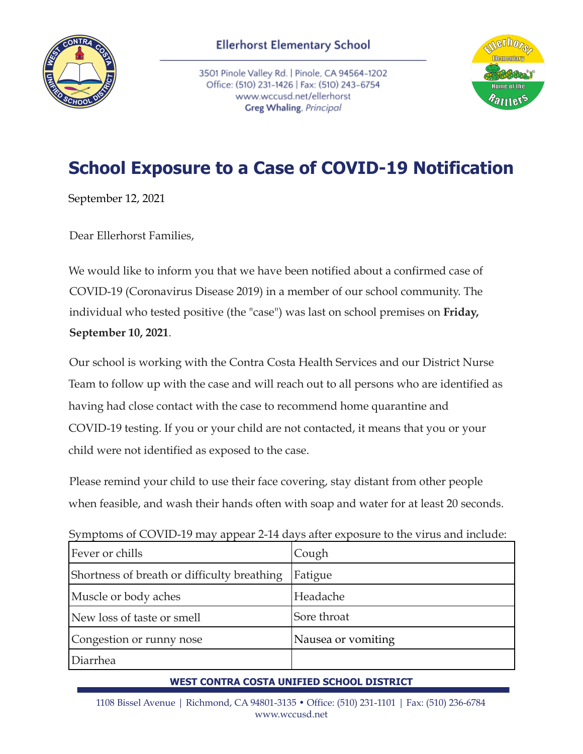

3501 Pinole Valley Rd. | Pinole, CA 94564-1202 Office: (510) 231-1426 | Fax: (510) 243-6754 www.wccusd.net/ellerhorst Greg Whaling, Principal



## **School Exposure to a Case of COVID-19 Notification**

September 12, 2021

Dear Ellerhorst Families,

We would like to inform you that we have been notified about a confirmed case of COVID-19 (Coronavirus Disease 2019) in a member of our school community. The individual who tested positive (the "case") was last on school premises on **Friday, September 10, 2021**.

Our school is working with the Contra Costa Health Services and our District Nurse Team to follow up with the case and will reach out to all persons who are identified as having had close contact with the case to recommend home quarantine and COVID-19 testing. If you or your child are not contacted, it means that you or your child were not identified as exposed to the case.

Please remind your child to use their face covering, stay distant from other people when feasible, and wash their hands often with soap and water for at least 20 seconds.

Symptoms of COVID-19 may appear 2-14 days after exposure to the virus and include:

| Fever or chills                             | Cough              |
|---------------------------------------------|--------------------|
| Shortness of breath or difficulty breathing | Fatigue            |
| Muscle or body aches                        | Headache           |
| New loss of taste or smell                  | Sore throat        |
| Congestion or runny nose                    | Nausea or vomiting |
| Diarrhea                                    |                    |

## **WEST CONTRA COSTA UNIFIED SCHOOL DISTRICT**

1108 Bissel Avenue | Richmond, CA 94801-3135 • Office: (510) 231-1101 | Fax: (510) 236-6784 www.wccusd.net